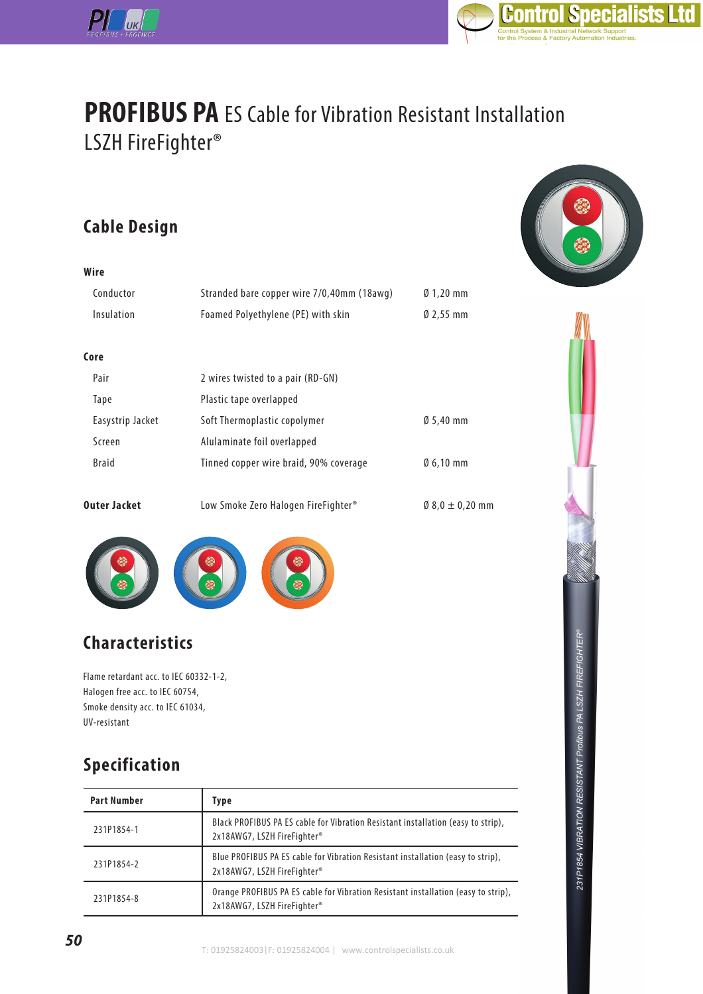



# **PROFIBUS PA** ES Cable for Vibration Resistant Installation LSZH FireFighter®

### **Cable Design**

**Wire**

| Conductor<br>Insulation | Stranded bare copper wire 7/0,40mm (18awg)<br>Foamed Polyethylene (PE) with skin | $\emptyset$ 1,20 mm<br>$02,55$ mm |
|-------------------------|----------------------------------------------------------------------------------|-----------------------------------|
|                         |                                                                                  |                                   |
| Core                    |                                                                                  |                                   |
| Pair                    | 2 wires twisted to a pair (RD-GN)                                                |                                   |
| Tape                    | Plastic tape overlapped                                                          |                                   |
| Easystrip Jacket        | Soft Thermoplastic copolymer                                                     | $0,5,40$ mm                       |
| Screen                  | Alulaminate foil overlapped                                                      |                                   |
| <b>Braid</b>            | Tinned copper wire braid, 90% coverage                                           | $\emptyset$ 6,10 mm               |
| Outer Jacket            | Low Smoke Zero Halogen FireFighter <sup>®</sup>                                  | $0.8,0 \pm 0.20$ mm               |





## **Characteristics**

Flame retardant acc. to IEC 60332-1-2, Halogen free acc. to IEC 60754, Smoke density acc. to IEC 61034, UV-resistant

### **Specification**

| <b>Part Number</b> | <b>Type</b>                                                                                                      |
|--------------------|------------------------------------------------------------------------------------------------------------------|
| 231P1854-1         | Black PROFIBUS PA ES cable for Vibration Resistant installation (easy to strip),<br>2x18AWG7, LSZH FireFighter®  |
| 231P1854-2         | Blue PROFIBUS PA ES cable for Vibration Resistant installation (easy to strip),<br>2x18AWG7, LSZH FireFighter®   |
| 231P1854-8         | Orange PROFIBUS PA ES cable for Vibration Resistant installation (easy to strip),<br>2x18AWG7, LSZH FireFighter® |